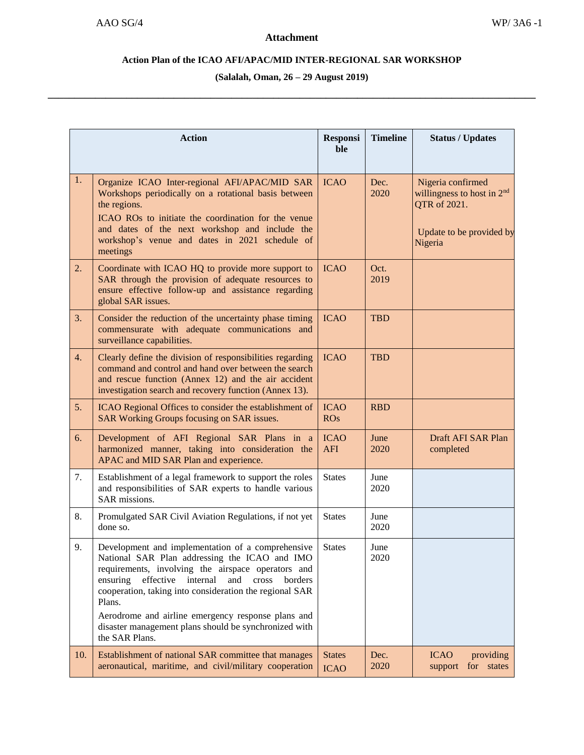## **Action Plan of the ICAO AFI/APAC/MID INTER-REGIONAL SAR WORKSHOP**

**(Salalah, Oman, 26 – 29 August 2019) \_\_\_\_\_\_\_\_\_\_\_\_\_\_\_\_\_\_\_\_\_\_\_\_\_\_\_\_\_\_\_\_\_\_\_\_\_\_\_\_\_\_\_\_\_\_\_\_\_\_\_\_\_\_\_\_\_\_\_\_\_\_\_\_\_\_\_\_\_\_\_\_\_\_\_\_\_\_\_\_\_\_\_\_\_\_\_\_\_\_\_\_\_**

| <b>Action</b> |                                                                                                                                                                                                                                                                                                                                                                                                                                | <b>Responsi</b><br>ble       | <b>Timeline</b> | <b>Status / Updates</b>                                                                                  |
|---------------|--------------------------------------------------------------------------------------------------------------------------------------------------------------------------------------------------------------------------------------------------------------------------------------------------------------------------------------------------------------------------------------------------------------------------------|------------------------------|-----------------|----------------------------------------------------------------------------------------------------------|
| 1.            | Organize ICAO Inter-regional AFI/APAC/MID SAR<br>Workshops periodically on a rotational basis between<br>the regions.<br>ICAO ROs to initiate the coordination for the venue<br>and dates of the next workshop and include the<br>workshop's venue and dates in 2021 schedule of<br>meetings                                                                                                                                   | <b>ICAO</b>                  | Dec.<br>2020    | Nigeria confirmed<br>willingness to host in $2nd$<br>QTR of 2021.<br>Update to be provided by<br>Nigeria |
| 2.            | Coordinate with ICAO HQ to provide more support to<br>SAR through the provision of adequate resources to<br>ensure effective follow-up and assistance regarding<br>global SAR issues.                                                                                                                                                                                                                                          | <b>ICAO</b>                  | Oct.<br>2019    |                                                                                                          |
| 3.            | Consider the reduction of the uncertainty phase timing<br>commensurate with adequate communications and<br>surveillance capabilities.                                                                                                                                                                                                                                                                                          | <b>ICAO</b>                  | <b>TBD</b>      |                                                                                                          |
| 4.            | Clearly define the division of responsibilities regarding<br>command and control and hand over between the search<br>and rescue function (Annex 12) and the air accident<br>investigation search and recovery function (Annex 13).                                                                                                                                                                                             | <b>ICAO</b>                  | <b>TBD</b>      |                                                                                                          |
| 5.            | ICAO Regional Offices to consider the establishment of<br>SAR Working Groups focusing on SAR issues.                                                                                                                                                                                                                                                                                                                           | <b>ICAO</b><br><b>ROs</b>    | <b>RBD</b>      |                                                                                                          |
| 6.            | Development of AFI Regional SAR Plans in a<br>harmonized manner, taking into consideration the<br>APAC and MID SAR Plan and experience.                                                                                                                                                                                                                                                                                        | <b>ICAO</b><br><b>AFI</b>    | June<br>2020    | Draft AFI SAR Plan<br>completed                                                                          |
| 7.            | Establishment of a legal framework to support the roles<br>and responsibilities of SAR experts to handle various<br>SAR missions.                                                                                                                                                                                                                                                                                              | <b>States</b>                | June<br>2020    |                                                                                                          |
| 8.            | Promulgated SAR Civil Aviation Regulations, if not yet<br>done so.                                                                                                                                                                                                                                                                                                                                                             | <b>States</b>                | June<br>2020    |                                                                                                          |
| 9.            | Development and implementation of a comprehensive<br>National SAR Plan addressing the ICAO and IMO<br>requirements, involving the airspace operators and<br>ensuring<br>effective<br>internal<br>and<br>cross<br>borders<br>cooperation, taking into consideration the regional SAR<br>Plans.<br>Aerodrome and airline emergency response plans and<br>disaster management plans should be synchronized with<br>the SAR Plans. | <b>States</b>                | June<br>2020    |                                                                                                          |
| 10.           | Establishment of national SAR committee that manages<br>aeronautical, maritime, and civil/military cooperation                                                                                                                                                                                                                                                                                                                 | <b>States</b><br><b>ICAO</b> | Dec.<br>2020    | <b>ICAO</b><br>providing<br>for states<br>support                                                        |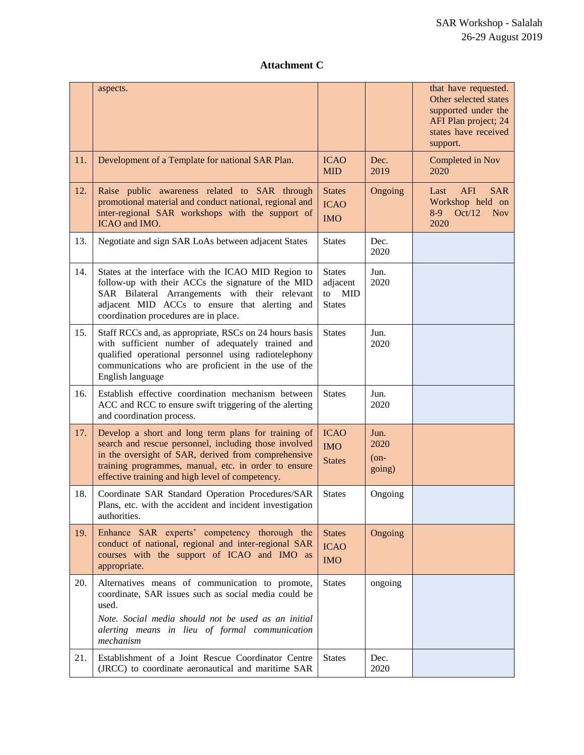## **Attachment C**

|     | aspects.                                                                                                                                                                                                                                                                        |                                                                |                                   | that have requested.<br>Other selected states<br>supported under the<br>AFI Plan project; 24<br>states have received<br>support. |
|-----|---------------------------------------------------------------------------------------------------------------------------------------------------------------------------------------------------------------------------------------------------------------------------------|----------------------------------------------------------------|-----------------------------------|----------------------------------------------------------------------------------------------------------------------------------|
| 11. | Development of a Template for national SAR Plan.                                                                                                                                                                                                                                | <b>ICAO</b><br><b>MID</b>                                      | Dec.<br>2019                      | Completed in Nov<br>2020                                                                                                         |
| 12. | Raise public awareness related to SAR through<br>promotional material and conduct national, regional and<br>inter-regional SAR workshops with the support of<br>ICAO and IMO.                                                                                                   | <b>States</b><br><b>ICAO</b><br><b>IMO</b>                     | Ongoing                           | <b>AFI</b><br>Last<br><b>SAR</b><br>Workshop held on<br>$8-9$<br>Oct/12<br><b>Nov</b><br>2020                                    |
| 13. | Negotiate and sign SAR LoAs between adjacent States                                                                                                                                                                                                                             | <b>States</b>                                                  | Dec.<br>2020                      |                                                                                                                                  |
| 14. | States at the interface with the ICAO MID Region to<br>follow-up with their ACCs the signature of the MID<br>SAR Bilateral Arrangements with their relevant<br>adjacent MID ACCs to ensure that alerting and<br>coordination procedures are in place.                           | <b>States</b><br>adjacent<br><b>MID</b><br>to<br><b>States</b> | Jun.<br>2020                      |                                                                                                                                  |
| 15. | Staff RCCs and, as appropriate, RSCs on 24 hours basis<br>with sufficient number of adequately trained and<br>qualified operational personnel using radiotelephony<br>communications who are proficient in the use of the<br>English language                                   | <b>States</b>                                                  | Jun.<br>2020                      |                                                                                                                                  |
| 16. | Establish effective coordination mechanism between<br>ACC and RCC to ensure swift triggering of the alerting<br>and coordination process.                                                                                                                                       | <b>States</b>                                                  | Jun.<br>2020                      |                                                                                                                                  |
| 17. | Develop a short and long term plans for training of<br>search and rescue personnel, including those involved<br>in the oversight of SAR, derived from comprehensive<br>training programmes, manual, etc. in order to ensure<br>effective training and high level of competency. | <b>ICAO</b><br><b>IMO</b><br><b>States</b>                     | Jun.<br>2020<br>$($ on-<br>going) |                                                                                                                                  |
| 18. | Coordinate SAR Standard Operation Procedures/SAR<br>Plans, etc. with the accident and incident investigation<br>authorities.                                                                                                                                                    | <b>States</b>                                                  | Ongoing                           |                                                                                                                                  |
| 19. | Enhance SAR experts' competency thorough the<br>conduct of national, regional and inter-regional SAR<br>courses with the support of ICAO and IMO as<br>appropriate.                                                                                                             | <b>States</b><br><b>ICAO</b><br><b>IMO</b>                     | Ongoing                           |                                                                                                                                  |
| 20. | Alternatives means of communication to promote,<br>coordinate, SAR issues such as social media could be<br>used.<br>Note. Social media should not be used as an initial<br>alerting means in lieu of formal communication<br>mechanism                                          | <b>States</b>                                                  | ongoing                           |                                                                                                                                  |
| 21. | Establishment of a Joint Rescue Coordinator Centre<br>(JRCC) to coordinate aeronautical and maritime SAR                                                                                                                                                                        | <b>States</b>                                                  | Dec.<br>2020                      |                                                                                                                                  |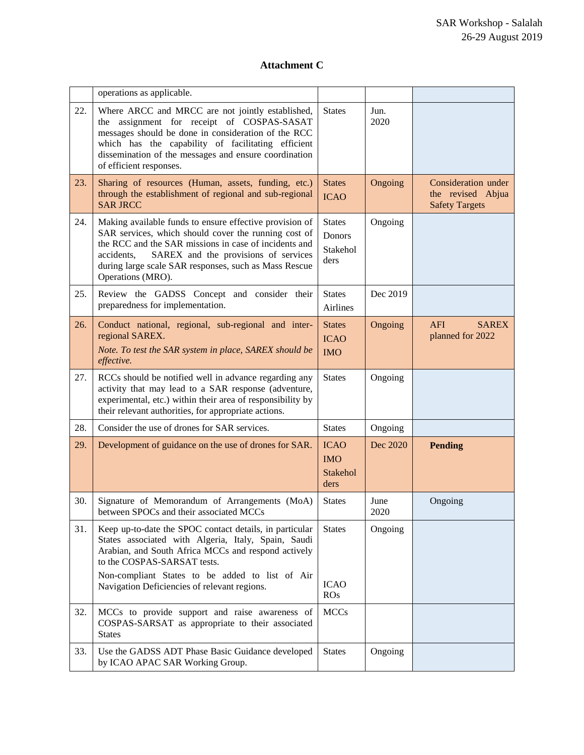## **Attachment C**

|     | operations as applicable.                                                                                                                                                                                                                                                                                    |                                               |              |                                                                   |
|-----|--------------------------------------------------------------------------------------------------------------------------------------------------------------------------------------------------------------------------------------------------------------------------------------------------------------|-----------------------------------------------|--------------|-------------------------------------------------------------------|
| 22. | Where ARCC and MRCC are not jointly established,<br>the assignment for receipt of COSPAS-SASAT<br>messages should be done in consideration of the RCC<br>which has the capability of facilitating efficient<br>dissemination of the messages and ensure coordination<br>of efficient responses.              | <b>States</b>                                 | Jun.<br>2020 |                                                                   |
| 23. | Sharing of resources (Human, assets, funding, etc.)<br>through the establishment of regional and sub-regional<br><b>SAR JRCC</b>                                                                                                                                                                             | <b>States</b><br><b>ICAO</b>                  | Ongoing      | Consideration under<br>the revised Abjua<br><b>Safety Targets</b> |
| 24. | Making available funds to ensure effective provision of<br>SAR services, which should cover the running cost of<br>the RCC and the SAR missions in case of incidents and<br>SAREX and the provisions of services<br>accidents,<br>during large scale SAR responses, such as Mass Rescue<br>Operations (MRO). | <b>States</b><br>Donors<br>Stakehol<br>ders   | Ongoing      |                                                                   |
| 25. | Review the GADSS Concept and consider their<br>preparedness for implementation.                                                                                                                                                                                                                              | <b>States</b><br>Airlines                     | Dec 2019     |                                                                   |
| 26. | Conduct national, regional, sub-regional and inter-<br>regional SAREX.<br>Note. To test the SAR system in place, SAREX should be<br>effective.                                                                                                                                                               | <b>States</b><br><b>ICAO</b><br><b>IMO</b>    | Ongoing      | <b>AFI</b><br><b>SAREX</b><br>planned for 2022                    |
| 27. | RCCs should be notified well in advance regarding any<br>activity that may lead to a SAR response (adventure,<br>experimental, etc.) within their area of responsibility by<br>their relevant authorities, for appropriate actions.                                                                          | <b>States</b>                                 | Ongoing      |                                                                   |
| 28. | Consider the use of drones for SAR services.                                                                                                                                                                                                                                                                 | <b>States</b>                                 | Ongoing      |                                                                   |
| 29. | Development of guidance on the use of drones for SAR.                                                                                                                                                                                                                                                        | <b>ICAO</b><br><b>IMO</b><br>Stakehol<br>ders | Dec 2020     | <b>Pending</b>                                                    |
| 30. | Signature of Memorandum of Arrangements (MoA)<br>between SPOCs and their associated MCCs                                                                                                                                                                                                                     | <b>States</b>                                 | June<br>2020 | Ongoing                                                           |
| 31. | Keep up-to-date the SPOC contact details, in particular<br>States associated with Algeria, Italy, Spain, Saudi<br>Arabian, and South Africa MCCs and respond actively<br>to the COSPAS-SARSAT tests.                                                                                                         | <b>States</b>                                 | Ongoing      |                                                                   |
|     | Non-compliant States to be added to list of Air<br>Navigation Deficiencies of relevant regions.                                                                                                                                                                                                              | <b>ICAO</b><br>ROS                            |              |                                                                   |
| 32. | MCCs to provide support and raise awareness of<br>COSPAS-SARSAT as appropriate to their associated<br><b>States</b>                                                                                                                                                                                          | <b>MCCs</b>                                   |              |                                                                   |
| 33. | Use the GADSS ADT Phase Basic Guidance developed<br>by ICAO APAC SAR Working Group.                                                                                                                                                                                                                          | <b>States</b>                                 | Ongoing      |                                                                   |